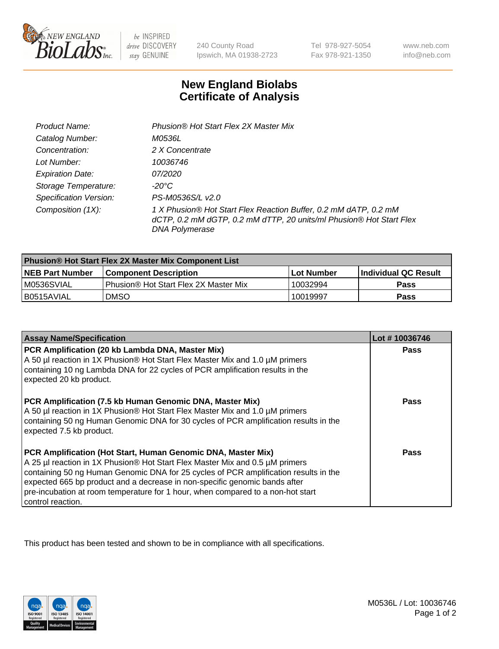

be INSPIRED drive DISCOVERY stay GENUINE

240 County Road Ipswich, MA 01938-2723

Tel 978-927-5054 Fax 978-921-1350

www.neb.com info@neb.com

## **New England Biolabs Certificate of Analysis**

| Product Name:                 | Phusion® Hot Start Flex 2X Master Mix                                                                                                                     |
|-------------------------------|-----------------------------------------------------------------------------------------------------------------------------------------------------------|
| Catalog Number:               | M0536L                                                                                                                                                    |
| Concentration:                | 2 X Concentrate                                                                                                                                           |
| Lot Number:                   | 10036746                                                                                                                                                  |
| <b>Expiration Date:</b>       | <i>07/2020</i>                                                                                                                                            |
| Storage Temperature:          | -20°C                                                                                                                                                     |
| <b>Specification Version:</b> | PS-M0536S/L v2.0                                                                                                                                          |
| Composition (1X):             | 1 X Phusion® Hot Start Flex Reaction Buffer, 0.2 mM dATP, 0.2 mM<br>dCTP, 0.2 mM dGTP, 0.2 mM dTTP, 20 units/ml Phusion® Hot Start Flex<br>DNA Polymerase |

| Phusion® Hot Start Flex 2X Master Mix Component List |                                       |              |                      |  |
|------------------------------------------------------|---------------------------------------|--------------|----------------------|--|
| <b>NEB Part Number</b>                               | <b>Component Description</b>          | l Lot Number | Individual QC Result |  |
| M0536SVIAL                                           | Phusion® Hot Start Flex 2X Master Mix | 10032994     | <b>Pass</b>          |  |
| I B0515AVIAL                                         | <b>DMSO</b>                           | 10019997     | <b>Pass</b>          |  |

| <b>Assay Name/Specification</b>                                                                                                                                                                                                                                                                                                                                                                                            | Lot #10036746 |
|----------------------------------------------------------------------------------------------------------------------------------------------------------------------------------------------------------------------------------------------------------------------------------------------------------------------------------------------------------------------------------------------------------------------------|---------------|
| PCR Amplification (20 kb Lambda DNA, Master Mix)<br>A 50 µl reaction in 1X Phusion® Hot Start Flex Master Mix and 1.0 µM primers<br>containing 10 ng Lambda DNA for 22 cycles of PCR amplification results in the<br>expected 20 kb product.                                                                                                                                                                               | <b>Pass</b>   |
| PCR Amplification (7.5 kb Human Genomic DNA, Master Mix)<br>A 50 µl reaction in 1X Phusion® Hot Start Flex Master Mix and 1.0 µM primers<br>containing 50 ng Human Genomic DNA for 30 cycles of PCR amplification results in the<br>expected 7.5 kb product.                                                                                                                                                               | <b>Pass</b>   |
| PCR Amplification (Hot Start, Human Genomic DNA, Master Mix)<br>A 25 µl reaction in 1X Phusion® Hot Start Flex Master Mix and 0.5 µM primers<br>containing 50 ng Human Genomic DNA for 25 cycles of PCR amplification results in the<br>expected 665 bp product and a decrease in non-specific genomic bands after<br>pre-incubation at room temperature for 1 hour, when compared to a non-hot start<br>control reaction. | Pass          |

This product has been tested and shown to be in compliance with all specifications.